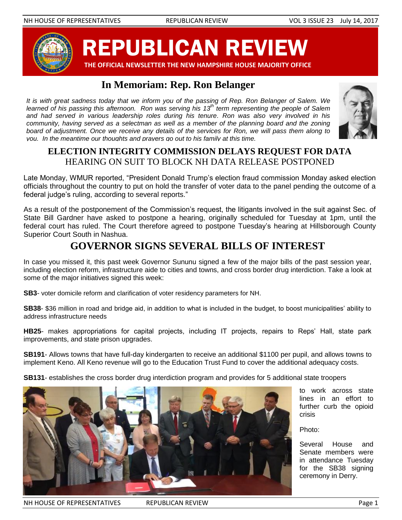

REPUBLICAN REVIEW

 **THE OFFICIAL NEWSLETTER THE NEW HAMPSHIRE HOUSE MAJORITY OFFICE**

# **In Memoriam: Rep. Ron Belanger**

*It is with great sadness today that we inform you of the passing of Rep. Ron Belanger of Salem. We learned of his passing this afternoon. Ron was serving his 13th term representing the people of Salem and had served in various leadership roles during his tenure. Ron was also very involved in his community, having served as a selectman as well as a member of the planning board and the zoning board of adjustment. Once we receive any details of the services for Ron, we will pass them along to you. In the meantime our thoughts and prayers go out to his family at this time.*



# **ELECTION INTEGRITY COMMISSION DELAYS REQUEST FOR DATA** HEARING ON SUIT TO BLOCK NH DATA RELEASE POSTPONED

Late Monday, WMUR reported, "President Donald Trump's election fraud commission Monday asked election Internation, which reported, it reduces a mand-mann-order made commission member decided order to the individu<br>Officials throughout the country to put on hold the transfer of voter data to the panel pending the outcome of of the area in bagned the search y to pat of here in a dance.<br>federal judge's ruling, according to several reports."

As a result of the postponement of the Commission's request, the litigants involved in the suit against Sec. of State Bill Gardner have asked to postpone a hearing, originally scheduled for Tuesday at 1pm, until the federal court has ruled. The Court therefore agreed to postpone Tuesday's hearing at Hillsborough County Superior Court South in Nashua.

# **GOVERNOR SIGNS SEVERAL BILLS OF INTEREST**

In case you missed it, this past week Governor Sununu signed a few of the major bills of the past session year, including election reform, infrastructure aide to cities and towns, and cross border drug interdiction. Take a look at some of the major initiatives signed this week:

**SB3**- voter domicile reform and clarification of voter residency parameters for NH.

**SB38**- \$36 million in road and bridge aid, in addition to what is included in the budget, to boost municipalities' ability to address infrastructure needs

**HB25**- makes appropriations for capital projects, including IT projects, repairs to Reps' Hall, state park improvements, and state prison upgrades.

**SB191**- Allows towns that have full-day kindergarten to receive an additional \$1100 per pupil, and allows towns to implement Keno. All Keno revenue will go to the Education Trust Fund to cover the additional adequacy costs.

**SB131**- establishes the cross border drug interdiction program and provides for 5 additional state troopers



to work across state lines in an effort to further curb the opioid crisis

Photo:

Several House and Senate members were in attendance Tuesday for the SB38 signing ceremony in Derry.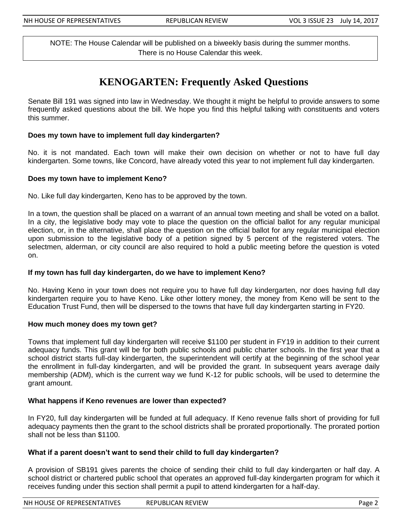NOTE: The House Calendar will be published on a biweekly basis during the summer months. There is no House Calendar this week.

### **KENOGARTEN: Frequently Asked Questions**

Senate Bill 191 was signed into law in Wednesday. We thought it might be helpful to provide answers to some frequently asked questions about the bill. We hope you find this helpful talking with constituents and voters this summer.

### **Does my town have to implement full day kindergarten?**

No. it is not mandated. Each town will make their own decision on whether or not to have full day kindergarten. Some towns, like Concord, have already voted this year to not implement full day kindergarten.

### **Does my town have to implement Keno?**

No. Like full day kindergarten, Keno has to be approved by the town.

In a town, the question shall be placed on a warrant of an annual town meeting and shall be voted on a ballot. In a city, the legislative body may vote to place the question on the official ballot for any regular municipal election, or, in the alternative, shall place the question on the official ballot for any regular municipal election upon submission to the legislative body of a petition signed by 5 percent of the registered voters. The selectmen, alderman, or city council are also required to hold a public meeting before the question is voted on.

### **If my town has full day kindergarten, do we have to implement Keno?**

No. Having Keno in your town does not require you to have full day kindergarten, nor does having full day kindergarten require you to have Keno. Like other lottery money, the money from Keno will be sent to the Education Trust Fund, then will be dispersed to the towns that have full day kindergarten starting in FY20.

#### **How much money does my town get?**

Towns that implement full day kindergarten will receive \$1100 per student in FY19 in addition to their current adequacy funds. This grant will be for both public schools and public charter schools. In the first year that a school district starts full-day kindergarten, the superintendent will certify at the beginning of the school year the enrollment in full-day kindergarten, and will be provided the grant. In subsequent years average daily membership (ADM), which is the current way we fund K-12 for public schools, will be used to determine the grant amount.

### **What happens if Keno revenues are lower than expected?**

In FY20, full day kindergarten will be funded at full adequacy. If Keno revenue falls short of providing for full adequacy payments then the grant to the school districts shall be prorated proportionally. The prorated portion shall not be less than \$1100.

### **What if a parent doesn't want to send their child to full day kindergarten?**

A provision of SB191 gives parents the choice of sending their child to full day kindergarten or half day. A school district or chartered public school that operates an approved full-day kindergarten program for which it receives funding under this section shall permit a pupil to attend kindergarten for a half-day.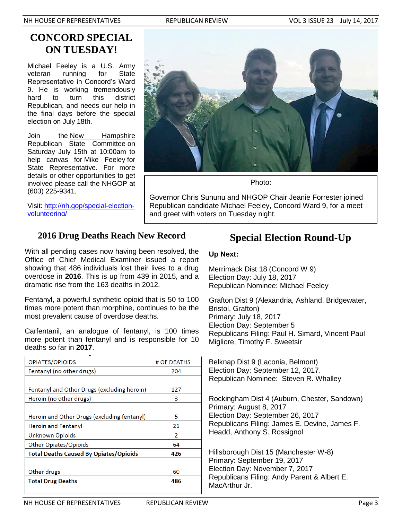NH HOUSE OF REPRESENTATIVES THE REPUBLICAN REVIEW THE VOL 3 ISSUE 23 July 14, 2017

## **CONCORD SPECIAL ON TUESDAY!**

Michael Feeley is a U.S. Army veteran running for State Representative in Concord's Ward 9. He is working tremendously hard to turn this district Republican, and needs our help in the final days before the special election on July 18th.

Join the [New Hampshire](https://www.facebook.com/nhrepublicanparty/?fref=mentions)  [Republican State Committee](https://www.facebook.com/nhrepublicanparty/?fref=mentions) on Saturday July 15th at 10:00am to help canvas for [Mike Feeley](https://www.facebook.com/mikef38?fref=mentions) for State Representative. For more details or other opportunities to get involved please call the NHGOP at (603) 225-9341.

Visit: [http://nh.gop/special-election](http://nh.gop/special-election-volunteering/)[volunteering/](http://nh.gop/special-election-volunteering/)



Photo:

Governor Chris Sununu and NHGOP Chair Jeanie Forrester joined Republican candidate Michael Feeley, Concord Ward 9, for a meet and greet with voters on Tuesday night.

## **2016 Drug Deaths Reach New Record**

With all pending cases now having been resolved, the Office of Chief Medical Examiner issued a report showing that 486 individuals lost their lives to a drug overdose in **2016**. This is up from 439 in 2015, and a dramatic rise from the 163 deaths in 2012.

Fentanyl, a powerful synthetic opioid that is 50 to 100 times more potent than morphine, continues to be the most prevalent cause of overdose deaths.

Carfentanil, an analogue of fentanyl, is 100 times more potent than fentanyl and is responsible for 10 deaths so far in **2017**.

| <b>OPIATES/OPIOIDS</b>                        | # OF DEATHS |
|-----------------------------------------------|-------------|
| Fentanyl (no other drugs)                     | 204         |
|                                               |             |
| Fentanyl and Other Drugs (excluding heroin)   | 127         |
| Heroin (no other drugs)                       | 3           |
|                                               |             |
| Heroin and Other Drugs (excluding fentanyl)   | 5           |
| <b>Heroin and Fentanyl</b>                    | 21          |
| Unknown Opioids                               | 2           |
| Other Opiates/Opioids                         | 64          |
| <b>Total Deaths Caused By Opiates/Opioids</b> | 426         |
|                                               |             |
| Other drugs                                   | 60          |
| <b>Total Drug Deaths</b>                      | 486         |
|                                               |             |

# **Special Election Round-Up**

### **Up Next:**

Merrimack Dist 18 (Concord W 9) Election Day: July 18, 2017 Republican Nominee: Michael Feeley

Grafton Dist 9 (Alexandria, Ashland, Bridgewater, Bristol, Grafton) Primary: July 18, 2017 Election Day: September 5 Republicans Filing: Paul H. Simard, Vincent Paul Migliore, Timothy F. Sweetsir

Belknap Dist 9 (Laconia, Belmont) Election Day: September 12, 2017. Republican Nominee: Steven R. Whalley

Rockingham Dist 4 (Auburn, Chester, Sandown) Primary: August 8, 2017 Election Day: September 26, 2017 Republicans Filing: James E. Devine, James F. Headd, Anthony S. Rossignol

Hillsborough Dist 15 (Manchester W-8) Primary: September 19, 2017 Election Day: November 7, 2017 Republicans Filing: Andy Parent & Albert E. MacArthur Jr.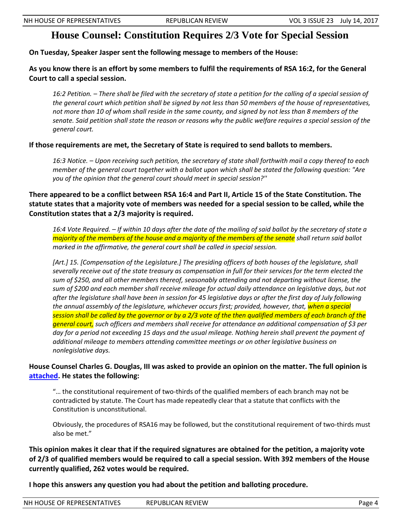## **House Counsel: Constitution Requires 2/3 Vote for Special Session**

**On Tuesday, Speaker Jasper sent the following message to members of the House:**

**As you know there is an effort by some members to fulfil the requirements of RSA 16:2, for the General Court to call a special session.** 

*16:2 Petition. – There shall be filed with the secretary of state a petition for the calling of a special session of the general court which petition shall be signed by not less than 50 members of the house of representatives, not more than 10 of whom shall reside in the same county, and signed by not less than 8 members of the senate. Said petition shall state the reason or reasons why the public welfare requires a special session of the general court.*

**If those requirements are met, the Secretary of State is required to send ballots to members.**

*16:3 Notice. – Upon receiving such petition, the secretary of state shall forthwith mail a copy thereof to each member of the general court together with a ballot upon which shall be stated the following question: "Are you of the opinion that the general court should meet in special session?''*

**There appeared to be a conflict between RSA 16:4 and Part II, Article 15 of the State Constitution. The statute states that a majority vote of members was needed for a special session to be called, while the Constitution states that a 2/3 majority is required.**

*16:4 Vote Required. – If within 10 days after the date of the mailing of said ballot by the secretary of state a majority of the members of the house and a majority of the members of the senate shall return said ballot marked in the affirmative, the general court shall be called in special session.*

*[Art.] 15. [Compensation of the Legislature.] The presiding officers of both houses of the legislature, shall severally receive out of the state treasury as compensation in full for their services for the term elected the sum of \$250, and all other members thereof, seasonably attending and not departing without license, the sum of \$200 and each member shall receive mileage for actual daily attendance on legislative days, but not after the legislature shall have been in session for 45 legislative days or after the first day of July following the annual assembly of the legislature, whichever occurs first; provided, however, that, when a special session shall be called by the governor or by a 2/3 vote of the then qualified members of each branch of the general court, such officers and members shall receive for attendance an additional compensation of \$3 per day for a period not exceeding 15 days and the usual mileage. Nothing herein shall prevent the payment of additional mileage to members attending committee meetings or on other legislative business on nonlegislative days.*

### **House Counsel Charles G. Douglas, III was asked to provide an opinion on the matter. The full opinion is [attached.](http://nhhousegop.com/wp-content/uploads/2017/07/RSA16-Part-II-Article-15-Opinion-.pdf) He states the following:**

"… the constitutional requirement of two-thirds of the qualified members of each branch may not be contradicted by statute. The Court has made repeatedly clear that a statute that conflicts with the Constitution is unconstitutional.

Obviously, the procedures of RSA16 may be followed, but the constitutional requirement of two-thirds must also be met."

**This opinion makes it clear that if the required signatures are obtained for the petition, a majority vote of 2/3 of qualified members would be required to call a special session. With 392 members of the House currently qualified, 262 votes would be required.**

**I hope this answers any question you had about the petition and balloting procedure.**